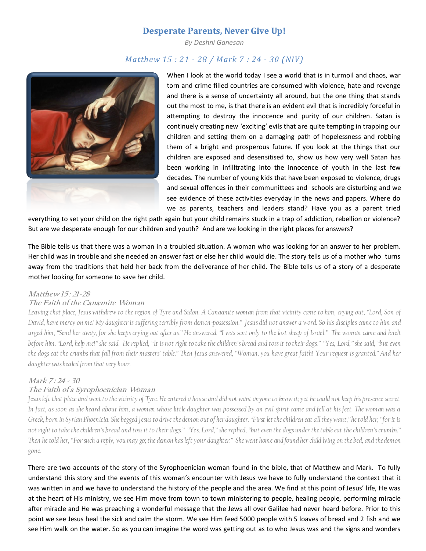# Desperate Parents, Never Give Up!

By Deshni Ganesan

# Matthew 15 : 21 - 28 / Mark 7 : 24 - 30 (NIV)



When I look at the world today I see a world that is in turmoil and chaos, war torn and crime filled countries are consumed with violence, hate and revenge and there is a sense of uncertainty all around, but the one thing that stands out the most to me, is that there is an evident evil that is incredibly forceful in attempting to destroy the innocence and purity of our children. Satan is continuely creating new 'exciting' evils that are quite tempting in trapping our children and setting them on a damaging path of hopelessness and robbing them of a bright and prosperous future. If you look at the things that our children are exposed and desensitised to, show us how very well Satan has been working in infilltrating into the innocence of youth in the last few decades. The number of young kids that have been exposed to violence, drugs and sexual offences in their communittees and schools are disturbing and we see evidence of these activities everyday in the news and papers. Where do we as parents, teachers and leaders stand? Have you as a parent tried

everything to set your child on the right path again but your child remains stuck in a trap of addiction, rebellion or violence? But are we desperate enough for our children and youth? And are we looking in the right places for answers?

The Bible tells us that there was a woman in a troubled situation. A woman who was looking for an answer to her problem. Her child was in trouble and she needed an answer fast or else her child would die. The story tells us of a mother who turns away from the traditions that held her back from the deliverance of her child. The Bible tells us of a story of a desperate mother looking for someone to save her child.

#### Matthew 15: 21-28

### The Faith of the Canaanite Woman

Leaving that place, Jesus withdrew to the region of Tyre and Sidon. A Canaanite woman from that vicinity came to him, crying out, "Lord, Son of David, have mercy on me! My daughter is suffering terribly from demon-possession." Jesus did not answer a word. So his disciples came to him and urged him, "Send her away, for she keeps crying out after us." He answered, "I was sent only to the lost sheep of Israel." The woman came and knelt before him. "Lord, help me!" she said. He replied, "It is not right to take the children's bread and toss it to their dogs." "Yes, Lord," she said, "but even the dogs eat the crumbs that fall from their masters' table." Then Jesus answered, "Woman, you have great faith! Your request is granted." And her daughter was healed from that very hour.

## Mark 7:24 - 30

## The Faith of a Syrophoenician Woman

Jesus left that place and went to the vicinity of Tyre. He entered a house and did not want anyone to know it; yet he could not keep his presence secret. In fact, as soon as she heard about him, a woman whose little daughter was possessed by an evil spirit came and fell at his feet. The woman was a Greek, born in Syrian Phoenicia. She begged Jesus to drive the demon out of her daughter. "First let the children eat all they want," he told her, "for it is not right to take the children's bread and toss it to their dogs." "Yes, Lord," she replied, "but even the dogs under the table eat the children's crumbs." Then he told her, "For such a reply, you may go; the demon has left your daughter." She went home and found her child lying on the bed, and the demon gone.

There are two accounts of the story of the Syrophoenician woman found in the bible, that of Matthew and Mark. To fully understand this story and the events of this woman's encounter with Jesus we have to fully understand the context that it was written in and we have to understand the history of the people and the area. We find at this point of Jesus' life, He was at the heart of His ministry, we see Him move from town to town ministering to people, healing people, performing miracle after miracle and He was preaching a wonderful message that the Jews all over Galilee had never heard before. Prior to this point we see Jesus heal the sick and calm the storm. We see Him feed 5000 people with 5 loaves of bread and 2 fish and we see Him walk on the water. So as you can imagine the word was getting out as to who Jesus was and the signs and wonders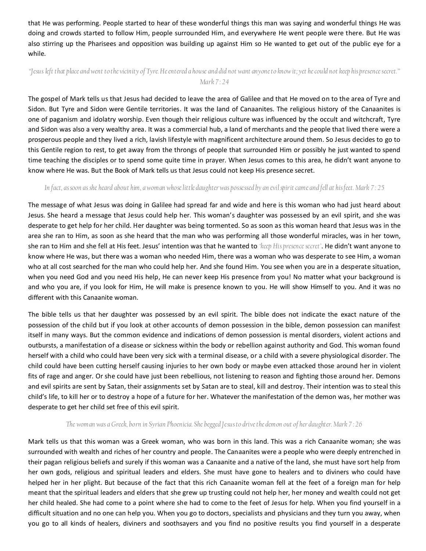that He was performing. People started to hear of these wonderful things this man was saying and wonderful things He was doing and crowds started to follow Him, people surrounded Him, and everywhere He went people were there. But He was also stirring up the Pharisees and opposition was building up against Him so He wanted to get out of the public eye for a while.

## "Jesus left that place and went to the vicinity of Tyre.He entered a house and did not want anyone to know it; yet he could not keep his presence secret." Mark 7:24

The gospel of Mark tells us that Jesus had decided to leave the area of Galilee and that He moved on to the area of Tyre and Sidon. But Tyre and Sidon were Gentile territories. It was the land of Canaanites. The religious history of the Canaanites is one of paganism and idolatry worship. Even though their religious culture was influenced by the occult and witchcraft, Tyre and Sidon was also a very wealthy area. It was a commercial hub, a land of merchants and the people that lived there were a prosperous people and they lived a rich, lavish lifestyle with magnificent architecture around them. So Jesus decides to go to this Gentile region to rest, to get away from the throngs of people that surrounded Him or possibly he just wanted to spend time teaching the disciples or to spend some quite time in prayer. When Jesus comes to this area, he didn't want anyone to know where He was. But the Book of Mark tells us that Jesus could not keep His presence secret.

#### In fact, as soon as she heard about him, a woman whose little daughter was possessed by an evilspirit came and fell at his feet. Mark 7 : 25

The message of what Jesus was doing in Galilee had spread far and wide and here is this woman who had just heard about Jesus. She heard a message that Jesus could help her. This woman's daughter was possessed by an evil spirit, and she was desperate to get help for her child. Her daughter was being tormented. So as soon as this woman heard that Jesus was in the area she ran to Him, as soon as she heard that the man who was performing all those wonderful miracles, was in her town, she ran to Him and she fell at His feet. Jesus' intention was that he wanted to keep His presence secret'. He didn't want anyone to know where He was, but there was a woman who needed Him, there was a woman who was desperate to see Him, a woman who at all cost searched for the man who could help her. And she found Him. You see when you are in a desperate situation, when you need God and you need His help, He can never keep His presence from you! No matter what your background is and who you are, if you look for Him, He will make is presence known to you. He will show Himself to you. And it was no different with this Canaanite woman.

The bible tells us that her daughter was possessed by an evil spirit. The bible does not indicate the exact nature of the possession of the child but if you look at other accounts of demon possession in the bible, demon possession can manifest itself in many ways. But the common evidence and indications of demon possession is mental disorders, violent actions and outbursts, a manifestation of a disease or sickness within the body or rebellion against authority and God. This woman found herself with a child who could have been very sick with a terminal disease, or a child with a severe physiological disorder. The child could have been cutting herself causing injuries to her own body or maybe even attacked those around her in violent fits of rage and anger. Or she could have just been rebellious, not listening to reason and fighting those around her. Demons and evil spirits are sent by Satan, their assignments set by Satan are to steal, kill and destroy. Their intention was to steal this child's life, to kill her or to destroy a hope of a future for her. Whatever the manifestation of the demon was, her mother was desperate to get her child set free of this evil spirit.

#### The woman was a Greek, born in Syrian Phoenicia. She begged Jesus to drive the demon out of her daughter. Mark 7 : 26

Mark tells us that this woman was a Greek woman, who was born in this land. This was a rich Canaanite woman; she was surrounded with wealth and riches of her country and people. The Canaanites were a people who were deeply entrenched in their pagan religious beliefs and surely if this woman was a Canaanite and a native of the land, she must have sort help from her own gods, religious and spiritual leaders and elders. She must have gone to healers and to diviners who could have helped her in her plight. But because of the fact that this rich Canaanite woman fell at the feet of a foreign man for help meant that the spiritual leaders and elders that she grew up trusting could not help her, her money and wealth could not get her child healed. She had come to a point where she had to come to the feet of Jesus for help. When you find yourself in a difficult situation and no one can help you. When you go to doctors, specialists and physicians and they turn you away, when you go to all kinds of healers, diviners and soothsayers and you find no positive results you find yourself in a desperate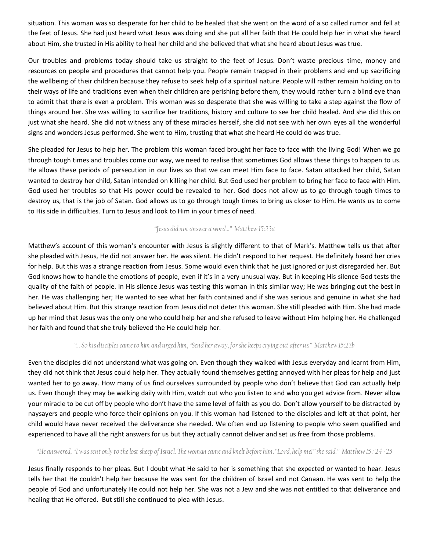situation. This woman was so desperate for her child to be healed that she went on the word of a so called rumor and fell at the feet of Jesus. She had just heard what Jesus was doing and she put all her faith that He could help her in what she heard about Him, she trusted in His ability to heal her child and she believed that what she heard about Jesus was true.

Our troubles and problems today should take us straight to the feet of Jesus. Don't waste precious time, money and resources on people and procedures that cannot help you. People remain trapped in their problems and end up sacrificing the wellbeing of their children because they refuse to seek help of a spiritual nature. People will rather remain holding on to their ways of life and traditions even when their children are perishing before them, they would rather turn a blind eye than to admit that there is even a problem. This woman was so desperate that she was willing to take a step against the flow of things around her. She was willing to sacrifice her traditions, history and culture to see her child healed. And she did this on just what she heard. She did not witness any of these miracles herself, she did not see with her own eyes all the wonderful signs and wonders Jesus performed. She went to Him, trusting that what she heard He could do was true.

She pleaded for Jesus to help her. The problem this woman faced brought her face to face with the living God! When we go through tough times and troubles come our way, we need to realise that sometimes God allows these things to happen to us. He allows these periods of persecution in our lives so that we can meet Him face to face. Satan attacked her child, Satan wanted to destroy her child, Satan intended on killing her child. But God used her problem to bring her face to face with Him. God used her troubles so that His power could be revealed to her. God does not allow us to go through tough times to destroy us, that is the job of Satan. God allows us to go through tough times to bring us closer to Him. He wants us to come to His side in difficulties. Turn to Jesus and look to Him in your times of need.

## "Jesus did not answer a word..." Matthew 15:23a

Matthew's account of this woman's encounter with Jesus is slightly different to that of Mark's. Matthew tells us that after she pleaded with Jesus, He did not answer her. He was silent. He didn't respond to her request. He definitely heard her cries for help. But this was a strange reaction from Jesus. Some would even think that he just ignored or just disregarded her. But God knows how to handle the emotions of people, even if it's in a very unusual way. But in keeping His silence God tests the quality of the faith of people. In His silence Jesus was testing this woman in this similar way; He was bringing out the best in her. He was challenging her; He wanted to see what her faith contained and if she was serious and genuine in what she had believed about Him. But this strange reaction from Jesus did not deter this woman. She still pleaded with Him. She had made up her mind that Jesus was the only one who could help her and she refused to leave without Him helping her. He challenged her faith and found that she truly believed the He could help her.

## "... So his disciples came to him and urged him, "Send her away, for she keeps crying out after us." Matthew 15:23b

Even the disciples did not understand what was going on. Even though they walked with Jesus everyday and learnt from Him, they did not think that Jesus could help her. They actually found themselves getting annoyed with her pleas for help and just wanted her to go away. How many of us find ourselves surrounded by people who don't believe that God can actually help us. Even though they may be walking daily with Him, watch out who you listen to and who you get advice from. Never allow your miracle to be cut off by people who don't have the same level of faith as you do. Don't allow yourself to be distracted by naysayers and people who force their opinions on you. If this woman had listened to the disciples and left at that point, her child would have never received the deliverance she needed. We often end up listening to people who seem qualified and experienced to have all the right answers for us but they actually cannot deliver and set us free from those problems.

## "He answered, "I was sent only to the lost sheep of Israel. The woman came and knelt before him. "Lord, help me!" she said." Matthew 15 : 24 - 25

Jesus finally responds to her pleas. But I doubt what He said to her is something that she expected or wanted to hear. Jesus tells her that He couldn't help her because He was sent for the children of Israel and not Canaan. He was sent to help the people of God and unfortunately He could not help her. She was not a Jew and she was not entitled to that deliverance and healing that He offered. But still she continued to plea with Jesus.